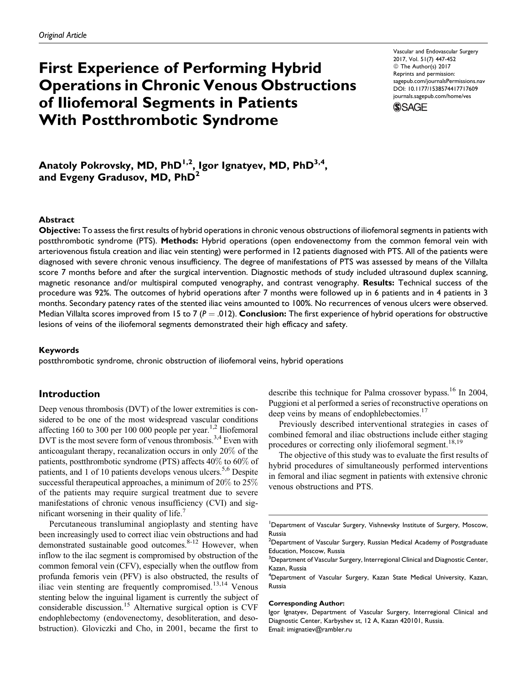# First Experience of Performing Hybrid Operations in Chronic Venous Obstructions of Iliofemoral Segments in Patients With Postthrombotic Syndrome

Vascular and Endovascular Surgery 2017, Vol. 51(7) 447-452 © The Author(s) 2017 Reprints and permission: [sagepub.com/journalsPermissions.nav](https://us.sagepub.com/en-us/journals-permissions) [DOI: 10.1177/1538574417717609](https://doi.org/10.1177/1538574417717609) [journals.sagepub.com/home/ves](http://journals.sagepub.com/home/ves)



Anatoly Pokrovsky, MD, PhD<sup>1,2</sup>, Igor Ignatyev, MD, PhD<sup>3,4</sup>, and Evgeny Gradusov, MD,  $\mathsf{PhD}^2$ 

## Abstract

Objective: To assess the first results of hybrid operations in chronic venous obstructions of iliofemoral segments in patients with postthrombotic syndrome (PTS). Methods: Hybrid operations (open endovenectomy from the common femoral vein with arteriovenous fistula creation and iliac vein stenting) were performed in 12 patients diagnosed with PTS. All of the patients were diagnosed with severe chronic venous insufficiency. The degree of manifestations of PTS was assessed by means of the Villalta score 7 months before and after the surgical intervention. Diagnostic methods of study included ultrasound duplex scanning, magnetic resonance and/or multispiral computed venography, and contrast venography. Results: Technical success of the procedure was 92%. The outcomes of hybrid operations after 7 months were followed up in 6 patients and in 4 patients in 3 months. Secondary patency rates of the stented iliac veins amounted to 100%. No recurrences of venous ulcers were observed. Median Villalta scores improved from 15 to 7 ( $P = .012$ ). **Conclusion:** The first experience of hybrid operations for obstructive lesions of veins of the iliofemoral segments demonstrated their high efficacy and safety.

#### Keywords

postthrombotic syndrome, chronic obstruction of iliofemoral veins, hybrid operations

## Introduction

Deep venous thrombosis (DVT) of the lower extremities is considered to be one of the most widespread vascular conditions affecting 160 to 300 per 100 000 people per year.<sup>1,2</sup> Iliofemoral DVT is the most severe form of venous thrombosis.<sup>3,4</sup> Even with anticoagulant therapy, recanalization occurs in only 20% of the patients, postthrombotic syndrome (PTS) affects 40% to 60% of patients, and 1 of 10 patients develops venous ulcers.<sup>5,6</sup> Despite successful therapeutical approaches, a minimum of 20% to 25% of the patients may require surgical treatment due to severe manifestations of chronic venous insufficiency (CVI) and significant worsening in their quality of life. $<sup>7</sup>$ </sup>

Percutaneous transluminal angioplasty and stenting have been increasingly used to correct iliac vein obstructions and had demonstrated sustainable good outcomes.<sup>8-12</sup> However, when inflow to the ilac segment is compromised by obstruction of the common femoral vein (CFV), especially when the outflow from profunda femoris vein (PFV) is also obstructed, the results of iliac vein stenting are frequently compromised.<sup>13,14</sup> Venous stenting below the inguinal ligament is currently the subject of considerable discussion.<sup>15</sup> Alternative surgical option is CVF endophlebectomy (endovenectomy, desobliteration, and desobstruction). Gloviczki and Cho, in 2001, became the first to describe this technique for Palma crossover bypass.<sup>16</sup> In 2004, Puggioni et al performed a series of reconstructive operations on deep veins by means of endophlebectomies.<sup>17</sup>

Previously described interventional strategies in cases of combined femoral and iliac obstructions include either staging procedures or correcting only iliofemoral segment.<sup>18,19</sup>

The objective of this study was to evaluate the first results of hybrid procedures of simultaneously performed interventions in femoral and iliac segment in patients with extensive chronic venous obstructions and PTS.

#### Corresponding Author:

<sup>&</sup>lt;sup>1</sup>Department of Vascular Surgery, Vishnevsky Institute of Surgery, Moscow, Russia

 $^2$ Department of Vascular Surgery, Russian Medical Academy of Postgraduate Education, Moscow, Russia

 $^3$ Department of Vascular Surgery, Interregional Clinical and Diagnostic Center, Kazan, Russia

<sup>&</sup>lt;sup>4</sup>Department of Vascular Surgery, Kazan State Medical University, Kazan, Russia

Igor Ignatyev, Department of Vascular Surgery, Interregional Clinical and Diagnostic Center, Karbyshev st, 12 A, Kazan 420101, Russia. Email: imignatiev@rambler.ru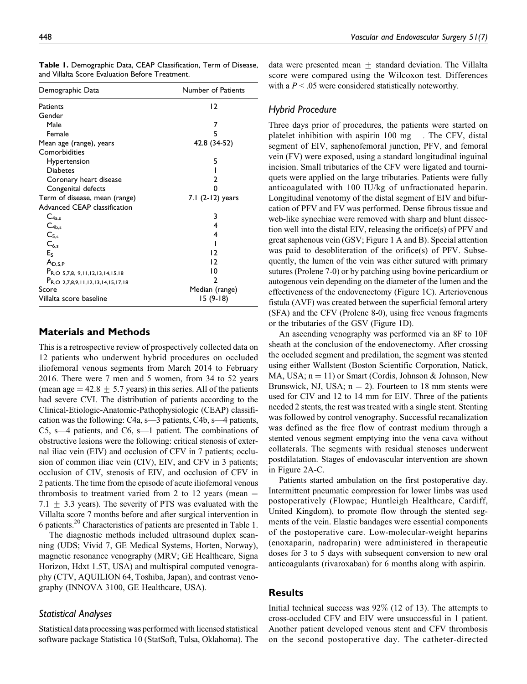| Demographic Data                              | Number of Patients |  |  |
|-----------------------------------------------|--------------------|--|--|
| Patients                                      | 12                 |  |  |
| Gender                                        |                    |  |  |
| Male                                          | 7                  |  |  |
| Female                                        | 5                  |  |  |
| Mean age (range), years                       | 42.8 (34-52)       |  |  |
| Comorbidities                                 |                    |  |  |
| Hypertension                                  | 5                  |  |  |
| <b>Diabetes</b>                               |                    |  |  |
| Coronary heart disease                        | 2                  |  |  |
| Congenital defects                            |                    |  |  |
| Term of disease, mean (range)                 | $7.1(2-12)$ years  |  |  |
| Advanced CEAP classification                  |                    |  |  |
| $C_{4a,s}$                                    | 3                  |  |  |
| $C_{4b,s}$                                    | 4                  |  |  |
| $C_{5,s}$                                     | 4                  |  |  |
| $C_{6,s}$                                     |                    |  |  |
| $E_S$                                         | 12                 |  |  |
| $A_{D.S.P}$                                   | 12                 |  |  |
| $P_{R,O}$ 5,7,8, 9,11,12,13,14,15,18          | 10                 |  |  |
| P <sub>R,O</sub> 2,7,8,9,11,12,13,14,15,17,18 | 2                  |  |  |
| Score                                         | Median (range)     |  |  |
| Villalta score baseline                       | 15 (9-18)          |  |  |

| Table 1. Demographic Data, CEAP Classification, Term of Disease, |  |  |
|------------------------------------------------------------------|--|--|
| and Villalta Score Evaluation Before Treatment.                  |  |  |

# Materials and Methods

This is a retrospective review of prospectively collected data on 12 patients who underwent hybrid procedures on occluded iliofemoral venous segments from March 2014 to February 2016. There were 7 men and 5 women, from 34 to 52 years (mean age  $= 42.8 \pm 5.7$  years) in this series. All of the patients had severe CVI. The distribution of patients according to the Clinical-Etiologic-Anatomic-Pathophysiologic (CEAP) classification was the following: C4a, s—3 patients, C4b, s—4 patients, C5, s—4 patients, and C6, s—1 patient. The combinations of obstructive lesions were the following: critical stenosis of external iliac vein (EIV) and occlusion of CFV in 7 patients; occlusion of common iliac vein (CIV), EIV, and CFV in 3 patients; occlusion of CIV, stenosis of EIV, and occlusion of CFV in 2 patients. The time from the episode of acute iliofemoral venous thrombosis to treatment varied from 2 to 12 years (mean  $=$ 7.1  $\pm$  3.3 years). The severity of PTS was evaluated with the Villalta score 7 months before and after surgical intervention in 6 patients.20 Characteristics of patients are presented in Table 1.

The diagnostic methods included ultrasound duplex scanning (UDS; Vivid 7, GE Medical Systems, Horten, Norway), magnetic resonance venography (MRV; GE Healthcare, Signa Horizon, Hdxt 1.5T, USA) and multispiral computed venography (CTV, AQUILION 64, Toshiba, Japan), and contrast venography (INNOVA 3100, GE Healthcare, USA).

## Statistical Analyses

Statistical data processing was performed with licensed statistical software package Statistica 10 (StatSoft, Tulsa, Oklahoma). The data were presented mean  $\pm$  standard deviation. The Villalta score were compared using the Wilcoxon test. Differences with a  $P < 0.05$  were considered statistically noteworthy.

## Hybrid Procedure

Three days prior of procedures, the patients were started on platelet inhibition with aspirin 100 mg Fhe CFV, distal segment of EIV, saphenofemoral junction, PFV, and femoral vein (FV) were exposed, using a standard longitudinal inguinal incision. Small tributaries of the CFV were ligated and tourniquets were applied on the large tributaries. Patients were fully anticoagulated with 100 IU/kg of unfractionated heparin. Longitudinal venotomy of the distal segment of EIV and bifurcation of PFV and FV was performed. Dense fibrous tissue and web-like synechiae were removed with sharp and blunt dissection well into the distal EIV, releasing the orifice(s) of PFV and great saphenous vein (GSV; Figure 1 A and B). Special attention was paid to desobliteration of the orifice(s) of PFV. Subsequently, the lumen of the vein was either sutured with primary sutures (Prolene 7-0) or by patching using bovine pericardium or autogenous vein depending on the diameter of the lumen and the effectiveness of the endovenectomy (Figure 1C). Arteriovenous fistula (AVF) was created between the superficial femoral artery (SFA) and the CFV (Prolene 8-0), using free venous fragments or the tributaries of the GSV (Figure 1D).

An ascending venography was performed via an 8F to 10F sheath at the conclusion of the endovenectomy. After crossing the occluded segment and predilation, the segment was stented using either Wallstent (Boston Scientific Corporation, Natick, MA, USA;  $n = 11$ ) or Smart (Cordis, Johnson & Johnson, New Brunswick, NJ, USA;  $n = 2$ ). Fourteen to 18 mm stents were used for CIV and 12 to 14 mm for EIV. Three of the patients needed 2 stents, the rest was treated with a single stent. Stenting was followed by control venography. Successful recanalization was defined as the free flow of contrast medium through a stented venous segment emptying into the vena cava without collaterals. The segments with residual stenoses underwent postdilatation. Stages of endovascular intervention are shown in Figure 2A-C.

Patients started ambulation on the first postoperative day. Intermittent pneumatic compression for lower limbs was used postoperatively (Flowpac; Huntleigh Healthcare, Cardiff, United Kingdom), to promote flow through the stented segments of the vein. Elastic bandages were essential components of the postoperative care. Low-molecular-weight heparins (enoxaparin, nadroparin) were administered in therapeutic doses for 3 to 5 days with subsequent conversion to new oral anticoagulants (rivaroxaban) for 6 months along with aspirin.

# **Results**

Initial technical success was 92% (12 of 13). The attempts to cross-occluded CFV and EIV were unsuccessful in 1 patient. Another patient developed venous stent and CFV thrombosis on the second postoperative day. The catheter-directed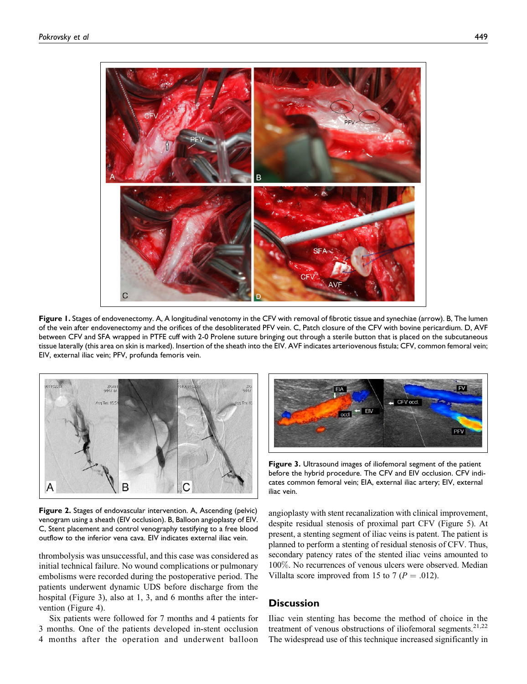

Figure 1. Stages of endovenectomy. A, A longitudinal venotomy in the CFV with removal of fibrotic tissue and synechiae (arrow). B, The lumen of the vein after endovenectomy and the orifices of the desobliterated PFV vein. C, Patch closure of the CFV with bovine pericardium. D, AVF between CFV and SFA wrapped in PTFE cuff with 2-0 Prolene suture bringing out through a sterile button that is placed on the subcutaneous tissue laterally (this area on skin is marked). Insertion of the sheath into the EIV. AVF indicates arteriovenous fistula; CFV, common femoral vein; EIV, external iliac vein; PFV, profunda femoris vein.



Figure 2. Stages of endovascular intervention. A, Ascending (pelvic) venogram using a sheath (EIV occlusion). B, Balloon angioplasty of EIV. C, Stent placement and control venography testifying to a free blood outflow to the inferior vena cava. EIV indicates external iliac vein.

thrombolysis was unsuccessful, and this case was considered as initial technical failure. No wound complications or pulmonary embolisms were recorded during the postoperative period. The patients underwent dynamic UDS before discharge from the hospital (Figure 3), also at 1, 3, and 6 months after the intervention (Figure 4).

Six patients were followed for 7 months and 4 patients for 3 months. One of the patients developed in-stent occlusion 4 months after the operation and underwent balloon



Figure 3. Ultrasound images of iliofemoral segment of the patient before the hybrid procedure. The CFV and EIV occlusion. CFV indicates common femoral vein; EIA, external iliac artery; EIV, external iliac vein.

angioplasty with stent recanalization with clinical improvement, despite residual stenosis of proximal part CFV (Figure 5). At present, a stenting segment of iliac veins is patent. The patient is planned to perform a stenting of residual stenosis of CFV. Thus, secondary patency rates of the stented iliac veins amounted to 100%. No recurrences of venous ulcers were observed. Median Villalta score improved from 15 to 7 ( $P = .012$ ).

# **Discussion**

Iliac vein stenting has become the method of choice in the treatment of venous obstructions of iliofemoral segments.<sup>21,22</sup> The widespread use of this technique increased significantly in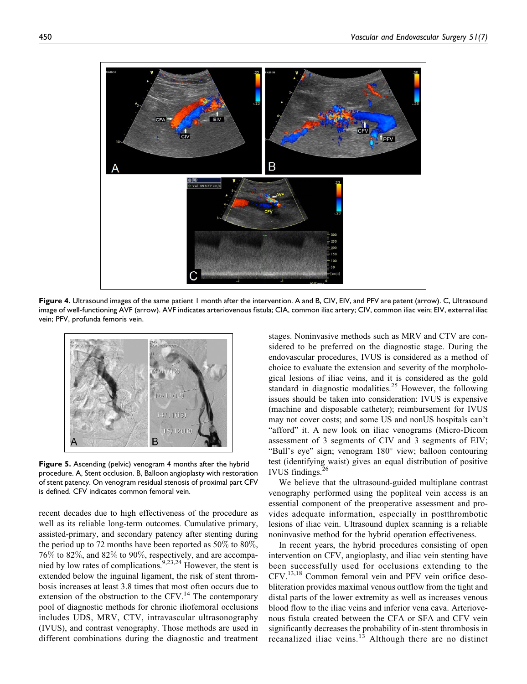

Figure 4. Ultrasound images of the same patient 1 month after the intervention. A and B, CIV, EIV, and PFV are patent (arrow). C, Ultrasound image of well-functioning AVF (arrow). AVF indicates arteriovenous fistula; CIA, common iliac artery; CIV, common iliac vein; EIV, external iliac vein; PFV, profunda femoris vein.



Figure 5. Ascending (pelvic) venogram 4 months after the hybrid procedure. A, Stent occlusion. B, Balloon angioplasty with restoration of stent patency. On venogram residual stenosis of proximal part CFV is defined. CFV indicates common femoral vein.

recent decades due to high effectiveness of the procedure as well as its reliable long-term outcomes. Cumulative primary, assisted-primary, and secondary patency after stenting during the period up to 72 months have been reported as  $50\%$  to  $80\%$ . 76% to 82%, and 82% to 90%, respectively, and are accompanied by low rates of complications.<sup>9,23,24</sup> However, the stent is extended below the inguinal ligament, the risk of stent thrombosis increases at least 3.8 times that most often occurs due to extension of the obstruction to the CFV.<sup>14</sup> The contemporary pool of diagnostic methods for chronic iliofemoral occlusions includes UDS, MRV, CTV, intravascular ultrasonography (IVUS), and contrast venography. Those methods are used in different combinations during the diagnostic and treatment

stages. Noninvasive methods such as MRV and CTV are considered to be preferred on the diagnostic stage. During the endovascular procedures, IVUS is considered as a method of choice to evaluate the extension and severity of the morphological lesions of iliac veins, and it is considered as the gold standard in diagnostic modalities.<sup>25</sup> However, the following issues should be taken into consideration: IVUS is expensive (machine and disposable catheter); reimbursement for IVUS may not cover costs; and some US and nonUS hospitals can't "afford" it. A new look on iliac venograms (Micro-Dicom assessment of 3 segments of CIV and 3 segments of EIV; "Bull's eye" sign; venogram 180° view; balloon contouring test (identifying waist) gives an equal distribution of positive IVUS findings.<sup>26</sup>

We believe that the ultrasound-guided multiplane contrast venography performed using the popliteal vein access is an essential component of the preoperative assessment and provides adequate information, especially in postthrombotic lesions of iliac vein. Ultrasound duplex scanning is a reliable noninvasive method for the hybrid operation effectiveness.

In recent years, the hybrid procedures consisting of open intervention on CFV, angioplasty, and iliac vein stenting have been successfully used for occlusions extending to the CFV.13,18 Common femoral vein and PFV vein orifice desobliteration provides maximal venous outflow from the tight and distal parts of the lower extremity as well as increases venous blood flow to the iliac veins and inferior vena cava. Arteriovenous fistula created between the CFA or SFA and CFV vein significantly decreases the probability of in-stent thrombosis in recanalized iliac veins. $13$  Although there are no distinct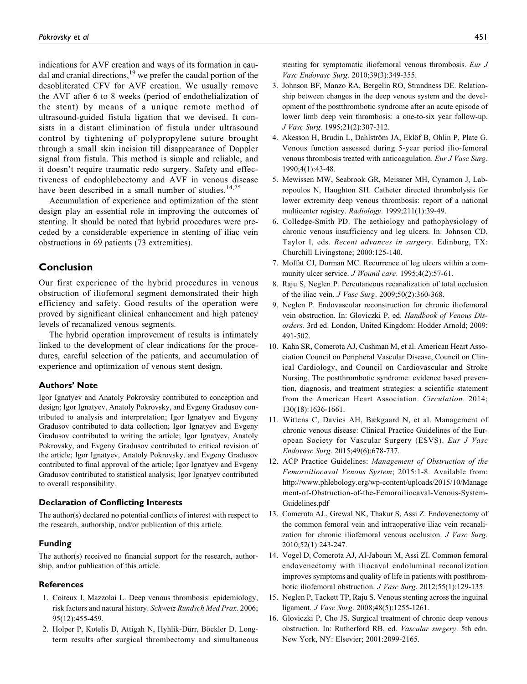indications for AVF creation and ways of its formation in caudal and cranial directions,<sup>19</sup> we prefer the caudal portion of the desobliterated CFV for AVF creation. We usually remove the AVF after 6 to 8 weeks (period of endothelialization of the stent) by means of a unique remote method of ultrasound-guided fistula ligation that we devised. It consists in a distant elimination of fistula under ultrasound control by tightening of polypropylene suture brought through a small skin incision till disappearance of Doppler signal from fistula. This method is simple and reliable, and it doesn't require traumatic redo surgery. Safety and effectiveness of endophlebectomy and AVF in venous disease have been described in a small number of studies.<sup>14,25</sup>

Accumulation of experience and optimization of the stent design play an essential role in improving the outcomes of stenting. It should be noted that hybrid procedures were preceded by a considerable experience in stenting of iliac vein obstructions in 69 patients (73 extremities).

# Conclusion

Our first experience of the hybrid procedures in venous obstruction of iliofemoral segment demonstrated their high efficiency and safety. Good results of the operation were proved by significant clinical enhancement and high patency levels of recanalized venous segments.

The hybrid operation improvement of results is intimately linked to the development of clear indications for the procedures, careful selection of the patients, and accumulation of experience and optimization of venous stent design.

### Authors' Note

Igor Ignatyev and Anatoly Pokrovsky contributed to conception and design; Igor Ignatyev, Anatoly Pokrovsky, and Evgeny Gradusov contributed to analysis and interpretation; Igor Ignatyev and Evgeny Gradusov contributed to data collection; Igor Ignatyev and Evgeny Gradusov contributed to writing the article; Igor Ignatyev, Anatoly Pokrovsky, and Evgeny Gradusov contributed to critical revision of the article; Igor Ignatyev, Anatoly Pokrovsky, and Evgeny Gradusov contributed to final approval of the article; Igor Ignatyev and Evgeny Gradusov contributed to statistical analysis; Igor Ignatyev contributed to overall responsibility.

#### Declaration of Conflicting Interests

The author(s) declared no potential conflicts of interest with respect to the research, authorship, and/or publication of this article.

#### Funding

The author(s) received no financial support for the research, authorship, and/or publication of this article.

#### References

- 1. Coiteux I, Mazzolai L. Deep venous thrombosis: epidemiology, risk factors and natural history. Schweiz Rundsch Med Prax. 2006; 95(12):455-459.
- 2. Holper P, Kotelis D, Attigah N, Hyhlik-Dürr, Böckler D. Longterm results after surgical thrombectomy and simultaneous

stenting for symptomatic iliofemoral venous thrombosis. Eur J Vasc Endovasc Surg. 2010;39(3):349-355.

- 3. Johnson BF, Manzo RA, Bergelin RO, Strandness DE. Relationship between changes in the deep venous system and the development of the postthrombotic syndrome after an acute episode of lower limb deep vein thrombosis: a one-to-six year follow-up. J Vasc Surg. 1995;21(2):307-312.
- 4. Akesson H, Brudin L, Dahlström JA, Eklöf B, Ohlin P, Plate G. Venous function assessed during 5-year period ilio-femoral venous thrombosis treated with anticoagulation. Eur J Vasc Surg. 1990;4(1):43-48.
- 5. Mewissen MW, Seabrook GR, Meissner MH, Cynamon J, Labropoulos N, Haughton SH. Catheter directed thrombolysis for lower extremity deep venous thrombosis: report of a national multicenter registry. Radiology. 1999;211(1):39-49.
- 6. Colledge-Smith PD. The aethiology and pathophysiology of chronic venous insufficiency and leg ulcers. In: Johnson CD, Taylor I, eds. Recent advances in surgery. Edinburg, TX: Churchill Livingstone; 2000:125-140.
- 7. Moffat CJ, Dorman MC. Recurrence of leg ulcers within a community ulcer service. J Wound care. 1995;4(2):57-61.
- 8. Raju S, Neglen P. Percutaneous recanalization of total occlusion of the iliac vein. J Vasc Surg. 2009;50(2):360-368.
- 9. Neglen P. Endovascular reconstruction for chronic iliofemoral vein obstruction. In: Gloviczki P, ed. Handbook of Venous Disorders. 3rd ed. London, United Kingdom: Hodder Arnold; 2009: 491-502.
- 10. Kahn SR, Comerota AJ, Cushman M, et al. American Heart Association Council on Peripheral Vascular Disease, Council on Clinical Cardiology, and Council on Cardiovascular and Stroke Nursing. The postthrombotic syndrome: evidence based prevention, diagnosis, and treatment strategies: a scientific statement from the American Heart Association. Circulation. 2014; 130(18):1636-1661.
- 11. Wittens C, Davies AH, Bækgaard N, et al. Management of chronic venous disease: Clinical Practice Guidelines of the European Society for Vascular Surgery (ESVS). Eur J Vasc Endovasc Surg. 2015;49(6):678-737.
- 12. ACP Practice Guidelines: Management of Obstruction of the Femoroiliocaval Venous System; 2015:1-8. Available from: [http://www.phlebology.org/wp-content/uploads/2015/10/Manage](http://www.phlebology.org/wp-content/uploads/2015/10/Management-of-Obstruction-of-the-Femoroiliocaval-Venous-System-Guidelines.pdf) [ment-of-Obstruction-of-the-Femoroiliocaval-Venous-System-](http://www.phlebology.org/wp-content/uploads/2015/10/Management-of-Obstruction-of-the-Femoroiliocaval-Venous-System-Guidelines.pdf)[Guidelines.pdf](http://www.phlebology.org/wp-content/uploads/2015/10/Management-of-Obstruction-of-the-Femoroiliocaval-Venous-System-Guidelines.pdf)
- 13. Comerota AJ., Grewal NK, Thakur S, Assi Z. Endovenectomy of the common femoral vein and intraoperative iliac vein recanalization for chronic iliofemoral venous occlusion. J Vasc Surg. 2010;52(1):243-247.
- 14. Vogel D, Comerota AJ, Al-Jabouri M, Assi ZI. Common femoral endovenectomy with iliocaval endoluminal recanalization improves symptoms and quality of life in patients with postthrombotic iliofemoral obstruction. J Vasc Surg. 2012;55(1):129-135.
- 15. Neglen P, Tackett TP, Raju S. Venous stenting across the inguinal ligament. *J Vasc Surg.* 2008;48(5):1255-1261.
- 16. Gloviczki P, Cho JS. Surgical treatment of chronic deep venous obstruction. In: Rutherford RB, ed. Vascular surgery. 5th edn. New York, NY: Elsevier; 2001:2099-2165.